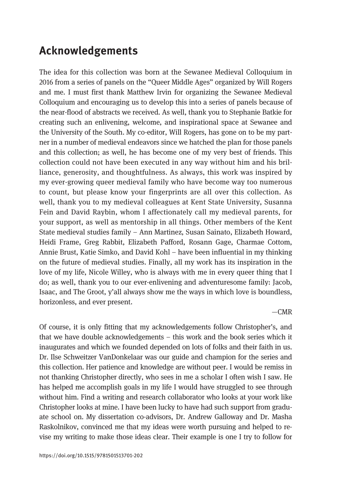## Acknowledgements

The idea for this collection was born at the Sewanee Medieval Colloquium in 2016 from a series of panels on the "Queer Middle Ages" organized by Will Rogers and me. I must first thank Matthew Irvin for organizing the Sewanee Medieval Colloquium and encouraging us to develop this into a series of panels because of the near-flood of abstracts we received. As well, thank you to Stephanie Batkie for creating such an enlivening, welcome, and inspirational space at Sewanee and the University of the South. My co-editor, Will Rogers, has gone on to be my partner in a number of medieval endeavors since we hatched the plan for those panels and this collection; as well, he has become one of my very best of friends. This collection could not have been executed in any way without him and his brilliance, generosity, and thoughtfulness. As always, this work was inspired by my ever-growing queer medieval family who have become way too numerous to count, but please know your fingerprints are all over this collection. As well, thank you to my medieval colleagues at Kent State University, Susanna Fein and David Raybin, whom I affectionately call my medieval parents, for your support, as well as mentorship in all things. Other members of the Kent State medieval studies family – Ann Martinez, Susan Sainato, Elizabeth Howard, Heidi Frame, Greg Rabbit, Elizabeth Pafford, Rosann Gage, Charmae Cottom, Annie Brust, Katie Simko, and David Kohl – have been influential in my thinking on the future of medieval studies. Finally, all my work has its inspiration in the love of my life, Nicole Willey, who is always with me in every queer thing that I do; as well, thank you to our ever-enlivening and adventuresome family: Jacob, Isaac, and The Groot, y'all always show me the ways in which love is boundless, horizonless, and ever present.

 $-CMR$ 

Of course, it is only fitting that my acknowledgements follow Christopher's, and that we have double acknowledgements – this work and the book series which it inaugurates and which we founded depended on lots of folks and their faith in us. Dr. Ilse Schweitzer VanDonkelaar was our guide and champion for the series and this collection. Her patience and knowledge are without peer. I would be remiss in not thanking Christopher directly, who sees in me a scholar I often wish I saw. He has helped me accomplish goals in my life I would have struggled to see through without him. Find a writing and research collaborator who looks at your work like Christopher looks at mine. I have been lucky to have had such support from graduate school on. My dissertation co-advisors, Dr. Andrew Galloway and Dr. Masha Raskolnikov, convinced me that my ideas were worth pursuing and helped to revise my writing to make those ideas clear. Their example is one I try to follow for